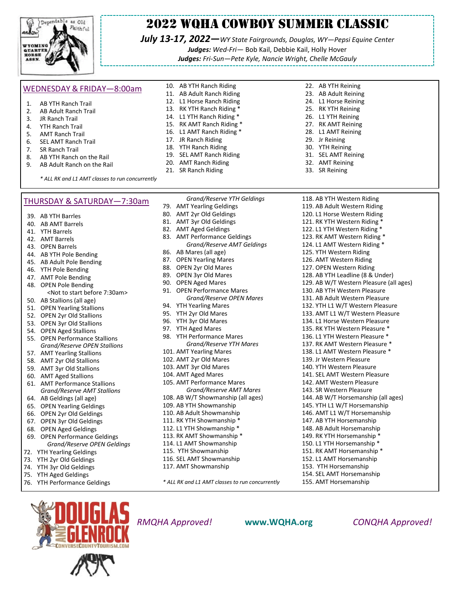

# 2022 WQHA Cowboy Summer Classic

*July 13-17, 2022—WY State Fairgrounds, Douglas, WY—Pepsi Equine Center Judges: Wed-Fri—* Bob Kail, Debbie Kail, Holly Hover

*Judges: Fri-Sun—Pete Kyle, Nancie Wright, Chelle McGauly*

#### WEDNESDAY & FRIDAY—8:00am

- 1. AB YTH Ranch Trail<br>2. AB Adult Ranch Tra
- AB Adult Ranch Trail 3. JR Ranch Trail
- 4. YTH Ranch Trail
- 
- 5. AMT Ranch Trail 6. SEL AMT Ranch Trail
- 
- 7. SR Ranch Trail
- 8. AB YTH Ranch on the Rail<br>9. AB Adult Ranch on the Ra
- AB Adult Ranch on the Rail

10. AB YTH Ranch Riding 11. AB Adult Ranch Riding

- 12. L1 Horse Ranch Riding
- 13. RK YTH Ranch Riding \*
- 14. L1 YTH Ranch Riding \*
- 15. RK AMT Ranch Riding \*
- 16. L1 AMT Ranch Riding \*
- 17. JR Ranch Riding
- 18. YTH Ranch Riding 19. SEL AMT Ranch Riding
- 20. AMT Ranch Riding
- 21. SR Ranch Riding
- 22. AB YTH Reining
	- 23. AB Adult Reining
	- 24. L1 Horse Reining
	- 25. RK YTH Reining 26. L1 YTH Reining
	- 27. RK AMT Reining
	- 28. L1 AMT Reining
	- 29. Jr Reining
	- 30. YTH Reining
	- 31. SEL AMT Reining
	- 32. AMT Reining
	- 33. SR Reining

*\* ALL RK and L1 AMT classes to run concurrently*

#### THURSDAY & SATURDAY—7:30am

39. AB YTH Barrles

- 40. AB AMT Barrels
- 41. YTH Barrels
- 42. AMT Barrels
- 43. OPEN Barrels
- 44. AB YTH Pole Bending
- 45. AB Adult Pole Bending
- 46. YTH Pole Bending
- 47. AMT Pole Bending
- 48. OPEN Pole Bending
- <Not to start before 7:30am> 50. AB Stallions (all age)
- 
- 51. OPEN Yearling Stallions
- 52. OPEN 2yr Old Stallions
- 53. OPEN 3yr Old Stallions
- 54. OPEN Aged Stallions
- 55. OPEN Performance Stallions *Grand/Reserve OPEN Stallions*
- 57. AMT Yearling Stallions
- 58. AMT 2yr Old Stallions
- 59. AMT 3yr Old Stallions
- 60. AMT Aged Stallions
- 61. AMT Performance Stallions *Grand/Reserve AMT Stallions*
- 64. AB Geldings (all age)
- 65. OPEN Yearling Geldings
- 66. OPEN 2yr Old Geldings
- 67. OPEN 3yr Old Geldings
- 68. OPEN Aged Geldings
- 69. OPEN Performance Geldings *Grand/Reserve OPEN Geldings*
- 72. YTH Yearling Geldings
- 73. YTH 2yr Old Geldings 74. YTH 3yr Old Geldings
- 
- 75. YTH Aged Geldings
- 76. YTH Performance Geldings
- *Grand/Reserve YTH Geldings* 79. AMT Yearling Geldings 80. AMT 2yr Old Geldings 81. AMT 3yr Old Geldings 82. AMT Aged Geldings 83. AMT Performance Geldings *Grand/Reserve AMT Geldings* 86. AB Mares (all age) 87. OPEN Yearling Mares 88. OPEN 2yr Old Mares 89. OPEN 3yr Old Mares 90. OPEN Aged Mares 91. OPEN Performance Mares *Grand/Reserve OPEN Mares* 94. YTH Yearling Mares 95. YTH 2yr Old Mares 96. YTH 3yr Old Mares 97. YTH Aged Mares 98. YTH Performance Mares *Grand/Reserve YTH Mares* 101. AMT Yearling Mares 102. AMT 2yr Old Mares 103. AMT 3yr Old Mares 104. AMT Aged Mares 105. AMT Performance Mares *Grand/Reserve AMT Mares* 108. AB W/T Showmanship (all ages) 109. AB YTH Showmanship 110. AB Adult Showmanship 111. RK YTH Showmanship \* 112. L1 YTH Showmanship \* 113. RK AMT Showmanship \* 114. L1 AMT Showmanship 115. YTH Showmanship 116. SEL AMT Showmanship 117. AMT Showmanship

*\* ALL RK and L1 AMT classes to run concurrently*

118. AB YTH Western Riding 119. AB Adult Western Riding 120. L1 Horse Western Riding 121. RK YTH Western Riding \* 122. L1 YTH Western Riding \* 123. RK AMT Western Riding \* 124. L1 AMT Western Riding \* 125. YTH Western Riding 126. AMT Western Riding 127. OPEN Western Riding 128. AB YTH Leadline (8 & Under) 129. AB W/T Western Pleasure (all ages) 130. AB YTH Western Pleasure 131. AB Adult Western Pleasure 132. YTH L1 W/T Western Pleasure 133. AMT L1 W/T Western Pleasure 134. L1 Horse Western Pleasure 135. RK YTH Western Pleasure \* 136. L1 YTH Western Pleasure \* 137. RK AMT Western Pleasure \* 138. L1 AMT Western Pleasure \* 139. Jr Western Pleasure 140. YTH Western Pleasure 141. SEL AMT Western Pleasure 142. AMT Western Pleasure 143. SR Western Pleasure 144. AB W/T Horsemanship (all ages) 145. YTH L1 W/T Horsemanship 146. AMT L1 W/T Horsemanship 147. AB YTH Horsemanship 148. AB Adult Horsemanship 149. RK YTH Horsemanship \* 150. L1 YTH Horsemanship \* 151. RK AMT Horsemanship \* 152. L1 AMT Horsemanship 153. YTH Horsemanship 154. SEL AMT Horsemanship 155. AMT Horsemanship



*RMQHA Approved!* **[www.WQHA.org](http://www.WQHA.org/)** *CONQHA Approved!*